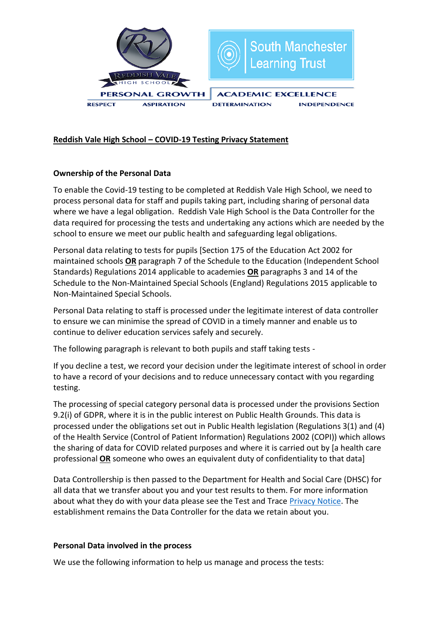

# **Reddish Vale High School – COVID-19 Testing Privacy Statement**

# **Ownership of the Personal Data**

To enable the Covid-19 testing to be completed at Reddish Vale High School, we need to process personal data for staff and pupils taking part, including sharing of personal data where we have a legal obligation. Reddish Vale High School is the Data Controller for the data required for processing the tests and undertaking any actions which are needed by the school to ensure we meet our public health and safeguarding legal obligations.

Personal data relating to tests for pupils [Section 175 of the Education Act 2002 for maintained schools **OR** paragraph 7 of the Schedule to the Education (Independent School Standards) Regulations 2014 applicable to academies **OR** paragraphs 3 and 14 of the Schedule to the Non-Maintained Special Schools (England) Regulations 2015 applicable to Non-Maintained Special Schools.

Personal Data relating to staff is processed under the legitimate interest of data controller to ensure we can minimise the spread of COVID in a timely manner and enable us to continue to deliver education services safely and securely.

The following paragraph is relevant to both pupils and staff taking tests -

If you decline a test, we record your decision under the legitimate interest of school in order to have a record of your decisions and to reduce unnecessary contact with you regarding testing.

The processing of special category personal data is processed under the provisions Section 9.2(i) of GDPR, where it is in the public interest on Public Health Grounds. This data is processed under the obligations set out in Public Health legislation (Regulations 3(1) and (4) of the Health Service (Control of Patient Information) Regulations 2002 (COPI)) which allows the sharing of data for COVID related purposes and where it is carried out by [a health care professional **OR** someone who owes an equivalent duty of confidentiality to that data]

Data Controllership is then passed to the Department for Health and Social Care (DHSC) for all data that we transfer about you and your test results to them. For more information about what they do with your data please see the Test and Trace [Privacy Notice.](https://contact-tracing.phe.gov.uk/help/privacy-notice) The establishment remains the Data Controller for the data we retain about you.

## **Personal Data involved in the process**

We use the following information to help us manage and process the tests: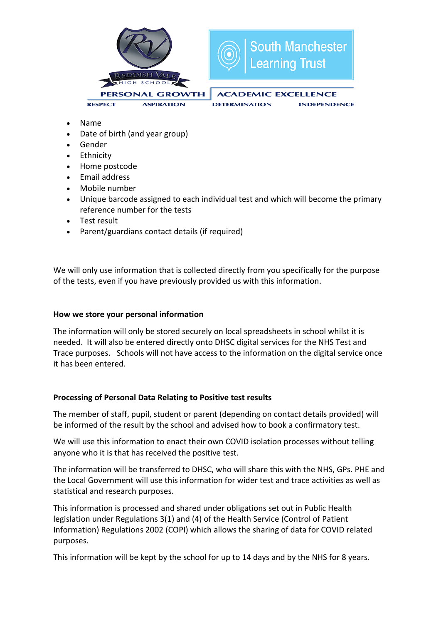

- Name
- Date of birth (and year group)
- Gender
- Ethnicity
- Home postcode
- Fmail address
- Mobile number
- Unique barcode assigned to each individual test and which will become the primary reference number for the tests
- Test result
- Parent/guardians contact details (if required)

We will only use information that is collected directly from you specifically for the purpose of the tests, even if you have previously provided us with this information.

## **How we store your personal information**

The information will only be stored securely on local spreadsheets in school whilst it is needed. It will also be entered directly onto DHSC digital services for the NHS Test and Trace purposes. Schools will not have access to the information on the digital service once it has been entered.

## **Processing of Personal Data Relating to Positive test results**

The member of staff, pupil, student or parent (depending on contact details provided) will be informed of the result by the school and advised how to book a confirmatory test.

We will use this information to enact their own COVID isolation processes without telling anyone who it is that has received the positive test.

The information will be transferred to DHSC, who will share this with the NHS, GPs. PHE and the Local Government will use this information for wider test and trace activities as well as statistical and research purposes.

This information is processed and shared under obligations set out in Public Health legislation under Regulations 3(1) and (4) of the Health Service (Control of Patient Information) Regulations 2002 (COPI) which allows the sharing of data for COVID related purposes.

This information will be kept by the school for up to 14 days and by the NHS for 8 years.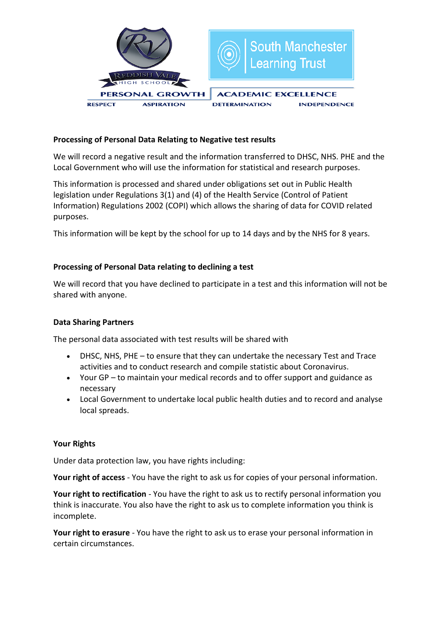

## **Processing of Personal Data Relating to Negative test results**

We will record a negative result and the information transferred to DHSC, NHS. PHE and the Local Government who will use the information for statistical and research purposes.

This information is processed and shared under obligations set out in Public Health legislation under Regulations 3(1) and (4) of the Health Service (Control of Patient Information) Regulations 2002 (COPI) which allows the sharing of data for COVID related purposes.

This information will be kept by the school for up to 14 days and by the NHS for 8 years.

## **Processing of Personal Data relating to declining a test**

We will record that you have declined to participate in a test and this information will not be shared with anyone.

## **Data Sharing Partners**

The personal data associated with test results will be shared with

- DHSC, NHS, PHE to ensure that they can undertake the necessary Test and Trace activities and to conduct research and compile statistic about Coronavirus.
- Your GP to maintain your medical records and to offer support and guidance as necessary
- Local Government to undertake local public health duties and to record and analyse local spreads.

## **Your Rights**

Under data protection law, you have rights including:

**Your right of access** - You have the right to ask us for copies of your personal information.

**Your right to rectification** - You have the right to ask us to rectify personal information you think is inaccurate. You also have the right to ask us to complete information you think is incomplete.

**Your right to erasure** - You have the right to ask us to erase your personal information in certain circumstances.